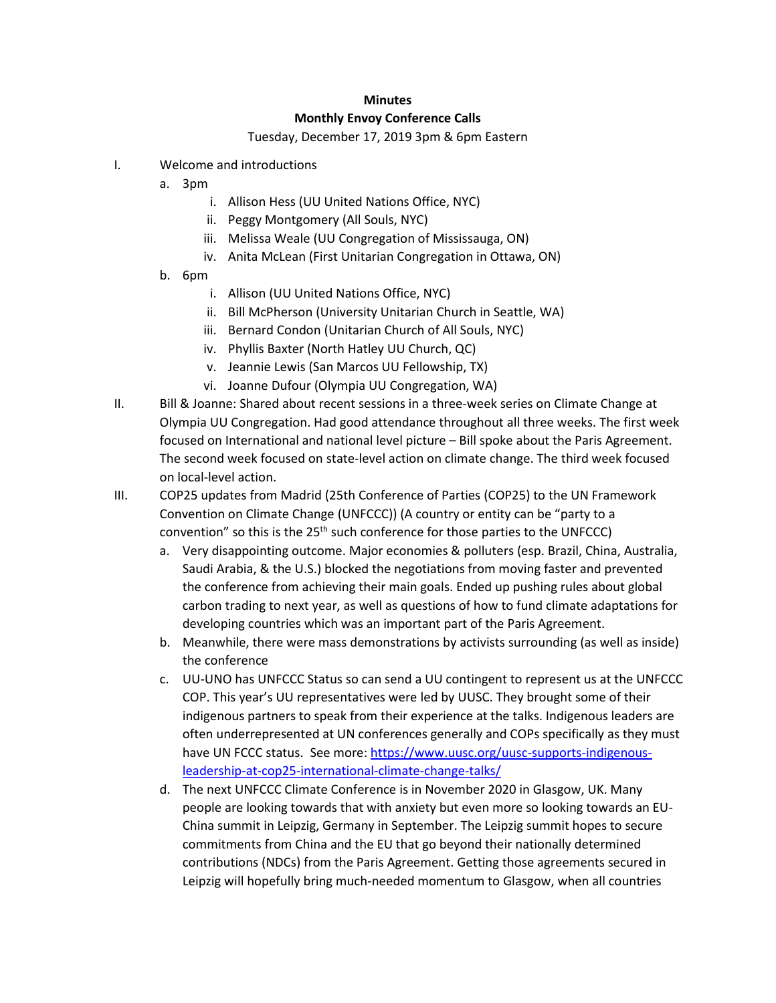## **Minutes Monthly Envoy Conference Calls**

Tuesday, December 17, 2019 3pm & 6pm Eastern

- I. Welcome and introductions
	- a. 3pm
		- i. Allison Hess (UU United Nations Office, NYC)
		- ii. Peggy Montgomery (All Souls, NYC)
		- iii. Melissa Weale (UU Congregation of Mississauga, ON)
		- iv. Anita McLean (First Unitarian Congregation in Ottawa, ON)
	- b. 6pm
		- i. Allison (UU United Nations Office, NYC)
		- ii. Bill McPherson (University Unitarian Church in Seattle, WA)
		- iii. Bernard Condon (Unitarian Church of All Souls, NYC)
		- iv. Phyllis Baxter (North Hatley UU Church, QC)
		- v. Jeannie Lewis (San Marcos UU Fellowship, TX)
		- vi. Joanne Dufour (Olympia UU Congregation, WA)
- II. Bill & Joanne: Shared about recent sessions in a three-week series on Climate Change at Olympia UU Congregation. Had good attendance throughout all three weeks. The first week focused on International and national level picture – Bill spoke about the Paris Agreement. The second week focused on state-level action on climate change. The third week focused on local-level action.
- III. COP25 updates from Madrid (25th Conference of Parties (COP25) to the UN Framework Convention on Climate Change (UNFCCC)) (A country or entity can be "party to a convention" so this is the 25<sup>th</sup> such conference for those parties to the UNFCCC)
	- a. Very disappointing outcome. Major economies & polluters (esp. Brazil, China, Australia, Saudi Arabia, & the U.S.) blocked the negotiations from moving faster and prevented the conference from achieving their main goals. Ended up pushing rules about global carbon trading to next year, as well as questions of how to fund climate adaptations for developing countries which was an important part of the Paris Agreement.
	- b. Meanwhile, there were mass demonstrations by activists surrounding (as well as inside) the conference
	- c. UU-UNO has UNFCCC Status so can send a UU contingent to represent us at the UNFCCC COP. This year's UU representatives were led by UUSC. They brought some of their indigenous partners to speak from their experience at the talks. Indigenous leaders are often underrepresented at UN conferences generally and COPs specifically as they must have UN FCCC status. See more[: https://www.uusc.org/uusc-supports-indigenous](https://www.uusc.org/uusc-supports-indigenous-leadership-at-cop25-international-climate-change-talks/)[leadership-at-cop25-international-climate-change-talks/](https://www.uusc.org/uusc-supports-indigenous-leadership-at-cop25-international-climate-change-talks/)
	- d. The next UNFCCC Climate Conference is in November 2020 in Glasgow, UK. Many people are looking towards that with anxiety but even more so looking towards an EU-China summit in Leipzig, Germany in September. The Leipzig summit hopes to secure commitments from China and the EU that go beyond their nationally determined contributions (NDCs) from the Paris Agreement. Getting those agreements secured in Leipzig will hopefully bring much-needed momentum to Glasgow, when all countries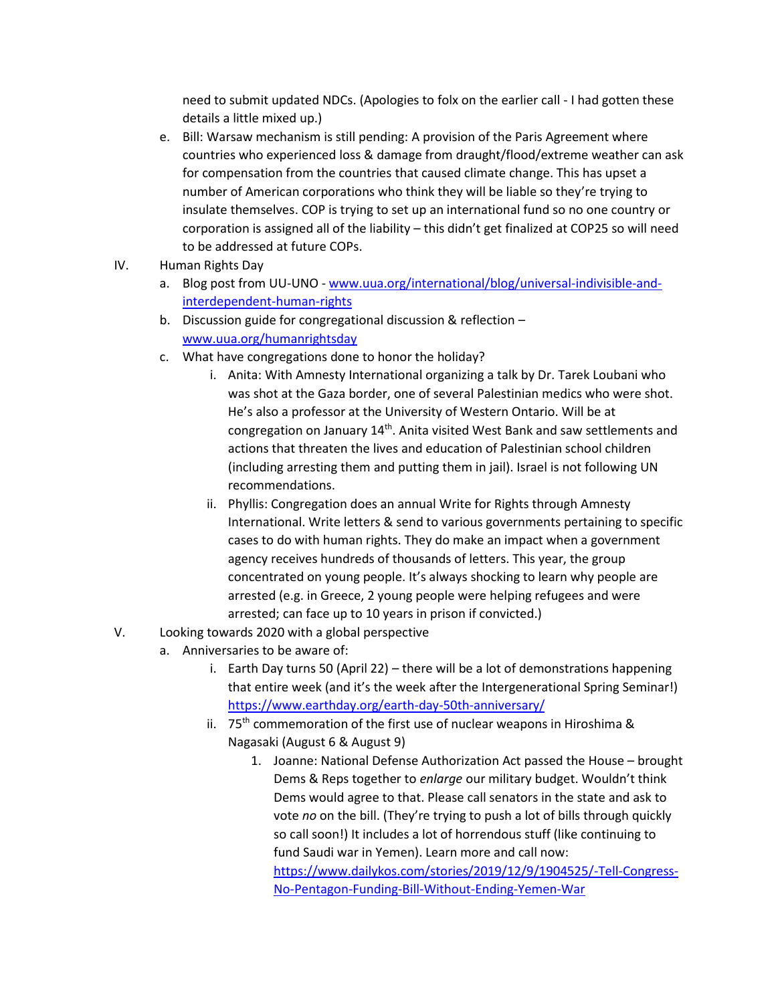need to submit updated NDCs. (Apologies to folx on the earlier call - I had gotten these details a little mixed up.)

- e. Bill: Warsaw mechanism is still pending: A provision of the Paris Agreement where countries who experienced loss & damage from draught/flood/extreme weather can ask for compensation from the countries that caused climate change. This has upset a number of American corporations who think they will be liable so they're trying to insulate themselves. COP is trying to set up an international fund so no one country or corporation is assigned all of the liability – this didn't get finalized at COP25 so will need to be addressed at future COPs.
- IV. Human Rights Day
	- a. Blog post from UU-UNO [www.uua.org/international/blog/universal-indivisible-and](http://www.uua.org/international/blog/universal-indivisible-and-interdependent-human-rights)[interdependent-human-rights](http://www.uua.org/international/blog/universal-indivisible-and-interdependent-human-rights)
	- b. Discussion guide for congregational discussion & reflection [www.uua.org/humanrightsday](http://www.uua.org/humanrightsday)
	- c. What have congregations done to honor the holiday?
		- i. Anita: With Amnesty International organizing a talk by Dr. Tarek Loubani who was shot at the Gaza border, one of several Palestinian medics who were shot. He's also a professor at the University of Western Ontario. Will be at congregation on January  $14<sup>th</sup>$ . Anita visited West Bank and saw settlements and actions that threaten the lives and education of Palestinian school children (including arresting them and putting them in jail). Israel is not following UN recommendations.
		- ii. Phyllis: Congregation does an annual Write for Rights through Amnesty International. Write letters & send to various governments pertaining to specific cases to do with human rights. They do make an impact when a government agency receives hundreds of thousands of letters. This year, the group concentrated on young people. It's always shocking to learn why people are arrested (e.g. in Greece, 2 young people were helping refugees and were arrested; can face up to 10 years in prison if convicted.)
- V. Looking towards 2020 with a global perspective
	- a. Anniversaries to be aware of:
		- i. Earth Day turns 50 (April 22) there will be a lot of demonstrations happening that entire week (and it's the week after the Intergenerational Spring Seminar!) <https://www.earthday.org/earth-day-50th-anniversary/>
		- ii. 75<sup>th</sup> commemoration of the first use of nuclear weapons in Hiroshima & Nagasaki (August 6 & August 9)
			- 1. Joanne: National Defense Authorization Act passed the House brought Dems & Reps together to *enlarge* our military budget. Wouldn't think Dems would agree to that. Please call senators in the state and ask to vote *no* on the bill. (They're trying to push a lot of bills through quickly so call soon!) It includes a lot of horrendous stuff (like continuing to fund Saudi war in Yemen). Learn more and call now: [https://www.dailykos.com/stories/2019/12/9/1904525/-Tell-Congress-](https://www.dailykos.com/stories/2019/12/9/1904525/-Tell-Congress-No-Pentagon-Funding-Bill-Without-Ending-Yemen-War)[No-Pentagon-Funding-Bill-Without-Ending-Yemen-War](https://www.dailykos.com/stories/2019/12/9/1904525/-Tell-Congress-No-Pentagon-Funding-Bill-Without-Ending-Yemen-War)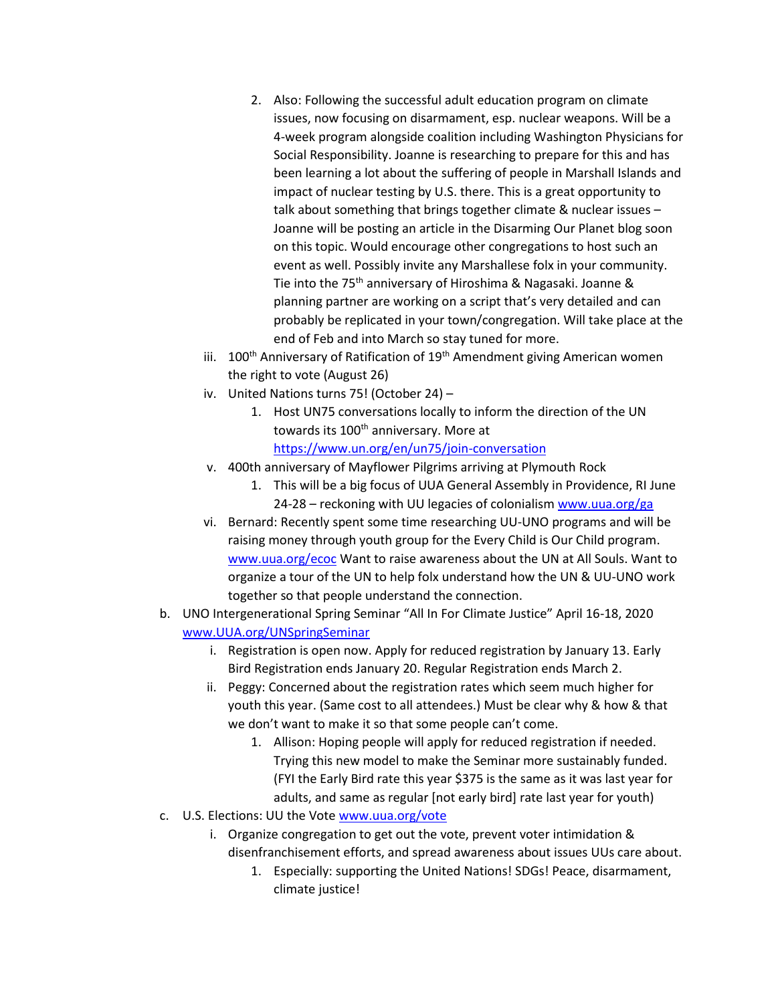- 2. Also: Following the successful adult education program on climate issues, now focusing on disarmament, esp. nuclear weapons. Will be a 4-week program alongside coalition including Washington Physicians for Social Responsibility. Joanne is researching to prepare for this and has been learning a lot about the suffering of people in Marshall Islands and impact of nuclear testing by U.S. there. This is a great opportunity to talk about something that brings together climate & nuclear issues – Joanne will be posting an article in the Disarming Our Planet blog soon on this topic. Would encourage other congregations to host such an event as well. Possibly invite any Marshallese folx in your community. Tie into the 75th anniversary of Hiroshima & Nagasaki. Joanne & planning partner are working on a script that's very detailed and can probably be replicated in your town/congregation. Will take place at the end of Feb and into March so stay tuned for more.
- iii.  $100<sup>th</sup>$  Anniversary of Ratification of  $19<sup>th</sup>$  Amendment giving American women the right to vote (August 26)
- iv. United Nations turns 75! (October 24)
	- 1. Host UN75 conversations locally to inform the direction of the UN towards its 100<sup>th</sup> anniversary. More at <https://www.un.org/en/un75/join-conversation>
- v. 400th anniversary of Mayflower Pilgrims arriving at Plymouth Rock
	- 1. This will be a big focus of UUA General Assembly in Providence, RI June  $24-28$  – reckoning with UU legacies of colonialism [www.uua.org/ga](http://www.uua.org/ga)
- vi. Bernard: Recently spent some time researching UU-UNO programs and will be raising money through youth group for the Every Child is Our Child program. [www.uua.org/ecoc](http://www.uua.org/ecoc) Want to raise awareness about the UN at All Souls. Want to organize a tour of the UN to help folx understand how the UN & UU-UNO work together so that people understand the connection.
- b. UNO Intergenerational Spring Seminar "All In For Climate Justice" April 16-18, 2020 [www.UUA.org/UNSpringSeminar](http://www.uua.org/UNSpringSeminar)
	- i. Registration is open now. Apply for reduced registration by January 13. Early Bird Registration ends January 20. Regular Registration ends March 2.
	- ii. Peggy: Concerned about the registration rates which seem much higher for youth this year. (Same cost to all attendees.) Must be clear why & how & that we don't want to make it so that some people can't come.
		- 1. Allison: Hoping people will apply for reduced registration if needed. Trying this new model to make the Seminar more sustainably funded. (FYI the Early Bird rate this year \$375 is the same as it was last year for adults, and same as regular [not early bird] rate last year for youth)
- c. U.S. Elections: UU the Vote [www.uua.org/vote](http://www.uua.org/vote)
	- i. Organize congregation to get out the vote, prevent voter intimidation & disenfranchisement efforts, and spread awareness about issues UUs care about.
		- 1. Especially: supporting the United Nations! SDGs! Peace, disarmament, climate justice!